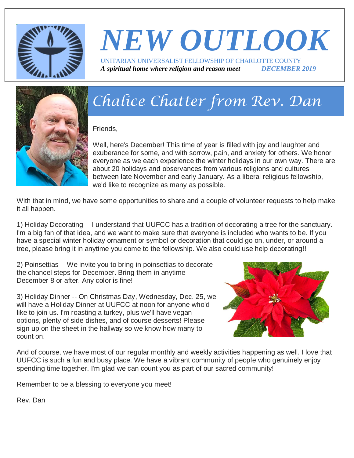

## *NEW OUTLOOK* UNITARIAN UNIVERSALIST FELLOWSHIP OF CHARLOTTE COUNTY *A spiritual home where religion and reason meet DECEMBER 2019*



# *Chalice Chatter from Rev. Dan*

Friends,

Well, here's December! This time of year is filled with joy and laughter and exuberance for some, and with sorrow, pain, and anxiety for others. We honor everyone as we each experience the winter holidays in our own way. There are about 20 holidays and observances from various religions and cultures between late November and early January. As a liberal religious fellowship, we'd like to recognize as many as possible.

With that in mind, we have some opportunities to share and a couple of volunteer requests to help make it all happen.

1) Holiday Decorating -- I understand that UUFCC has a tradition of decorating a tree for the sanctuary. I'm a big fan of that idea, and we want to make sure that everyone is included who wants to be. If you have a special winter holiday ornament or symbol or decoration that could go on, under, or around a tree, please bring it in anytime you come to the fellowship. We also could use help decorating!!

2) Poinsettias -- We invite you to bring in poinsettias to decorate the chancel steps for December. Bring them in anytime December 8 or after. Any color is fine!

3) Holiday Dinner -- On Christmas Day, Wednesday, Dec. 25, we will have a Holiday Dinner at UUFCC at noon for anyone who'd like to join us. I'm roasting a turkey, plus we'll have vegan options, plenty of side dishes, and of course desserts! Please sign up on the sheet in the hallway so we know how many to count on.



And of course, we have most of our regular monthly and weekly activities happening as well. I love that UUFCC is such a fun and busy place. We have a vibrant community of people who genuinely enjoy spending time together. I'm glad we can count you as part of our sacred community!

Remember to be a blessing to everyone you meet!

Rev. Dan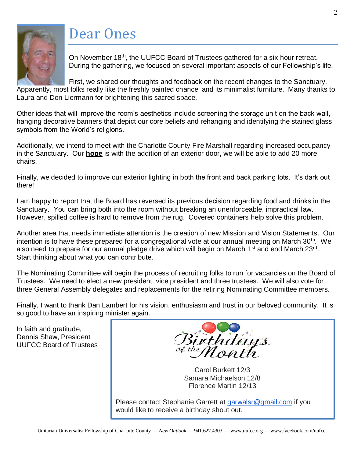## Dear Ones



On November 18<sup>th</sup>, the UUFCC Board of Trustees gathered for a six-hour retreat. During the gathering, we focused on several important aspects of our Fellowship's life.

First, we shared our thoughts and feedback on the recent changes to the Sanctuary. Apparently, most folks really like the freshly painted chancel and its minimalist furniture. Many thanks to Laura and Don Liermann for brightening this sacred space.

Other ideas that will improve the room's aesthetics include screening the storage unit on the back wall, hanging decorative banners that depict our core beliefs and rehanging and identifying the stained glass symbols from the World's religions.

Additionally, we intend to meet with the Charlotte County Fire Marshall regarding increased occupancy in the Sanctuary. Our **hope** is with the addition of an exterior door, we will be able to add 20 more chairs.

Finally, we decided to improve our exterior lighting in both the front and back parking lots. It's dark out there!

I am happy to report that the Board has reversed its previous decision regarding food and drinks in the Sanctuary. You can bring both into the room without breaking an unenforceable, impractical law. However, spilled coffee is hard to remove from the rug. Covered containers help solve this problem.

Another area that needs immediate attention is the creation of new Mission and Vision Statements. Our intention is to have these prepared for a congregational vote at our annual meeting on March 30<sup>th</sup>. We also need to prepare for our annual pledge drive which will begin on March 1<sup>st</sup> and end March 23<sup>rd</sup>. Start thinking about what you can contribute.

The Nominating Committee will begin the process of recruiting folks to run for vacancies on the Board of Trustees. We need to elect a new president, vice president and three trustees. We will also vote for three General Assembly delegates and replacements for the retiring Nominating Committee members.

Finally, I want to thank Dan Lambert for his vision, enthusiasm and trust in our beloved community. It is so good to have an inspiring minister again.

In faith and gratitude, Dennis Shaw, President UUFCC Board of Trustees



Carol Burkett 12/3 Samara Michaelson 12/8 Florence Martin 12/13

Please contact Stephanie Garrett at [garwalsr@gmail.com](mailto:garwalsr@gmail.com) if you would like to receive a birthday shout out.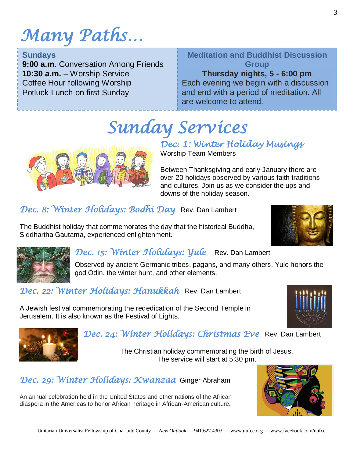# *Many Paths…*

#### **Sundays**

**9:00 a.m.** Conversation Among Friends **10:30 a.m.** – Worship Service Coffee Hour following Worship Potluck Lunch on first Sunday

## **Meditation and Buddhist Discussion Group**

**Thursday nights, 5 - 6:00 pm** Each evening we begin with a discussion

 $\overline{ \cdot }$ and end with a period of meditation. All are welcome to attend.

*Sunday Services* 



## *Dec. 1: Winter Holiday Musings*

Worship Team Members

Between Thanksgiving and early January there are over 20 holidays observed by various faith traditions and cultures. Join us as we consider the ups and downs of the holiday season.

*Dec. 8: Winter Holidays: Bodhi Day* Rev. Dan Lambert

The Buddhist holiday that commemorates the day that the historical Buddha, Siddhartha Gautama, experienced enlightenment.





## *Dec. 15: Winter Holidays: Yule* Rev. Dan Lambert

Observed by ancient Germanic tribes, pagans, and many others, Yule honors the god Odin, the winter hunt, and other elements.

*Dec. 22: Winter Holidays: Hanukkah* Rev. Dan Lambert

A Jewish festival commemorating the rededication of the Second Temple in Jerusalem. It is also known as the Festival of Lights.





## *Dec. 24: Winter Holidays: Christmas Eve* Rev. Dan Lambert

The Christian holiday commemorating the birth of Jesus. The service will start at 5:30 pm.

## *Dec. 29: Winter Holidays: Kwanzaa* Ginger Abraham

An annual celebration held in the United States and other nations of the African diaspora in the Americas to honor African heritage in African-American culture.

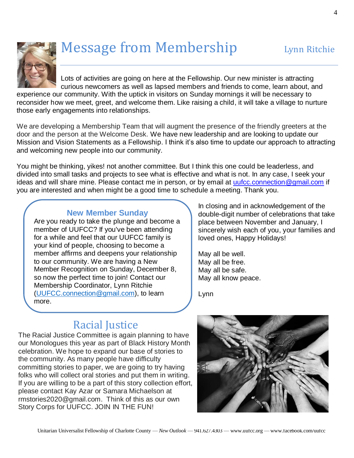

# Message from Membership Lynn Ritchie

Lots of activities are going on here at the Fellowship. Our new minister is attracting curious newcomers as well as lapsed members and friends to come, learn about, and

experience our community. With the uptick in visitors on Sunday mornings it will be necessary to reconsider how we meet, greet, and welcome them. Like raising a child, it will take a village to nurture those early engagements into relationships.

We are developing a Membership Team that will augment the presence of the friendly greeters at the door and the person at the Welcome Desk. We have new leadership and are looking to update our Mission and Vision Statements as a Fellowship. I think it's also time to update our approach to attracting and welcoming new people into our community.

You might be thinking, yikes! not another committee. But I think this one could be leaderless, and divided into small tasks and projects to see what is effective and what is not. In any case, I seek your ideas and will share mine. Please contact me in person, or by email at [uufcc.connection@gmail.com](mailto:uufcc.connection@gmail.com) if you are interested and when might be a good time to schedule a meeting. Thank you.

### **New Member Sunday**

Are you ready to take the plunge and become a member of UUFCC? If you've been attending for a while and feel that our UUFCC family is your kind of people, choosing to become a member affirms and deepens your relationship to our community. We are having a New Member Recognition on Sunday, December 8, so now the perfect time to join! Contact our Membership Coordinator, Lynn Ritchie [\(UUFCC.connection@gmail.com\)](mailto:UUFCC.connection@gmail.com), to learn more.

In closing and in acknowledgement of the double-digit number of celebrations that take place between November and January, I sincerely wish each of you, your families and loved ones, Happy Holidays!

May all be well. May all be free. May all be safe. May all know peace.

Lynn

## Racial Justice

The Racial Justice Committee is again planning to have our Monologues this year as part of Black History Month celebration. We hope to expand our base of stories to the community. As many people have difficulty committing stories to paper, we are going to try having folks who will collect oral stories and put them in writing. If you are willing to be a part of this story collection effort, please contact Kay Azar or Samara Michaelson at rmstories2020@gmail.com. Think of this as our own Story Corps for UUFCC. JOIN IN THE FUN!

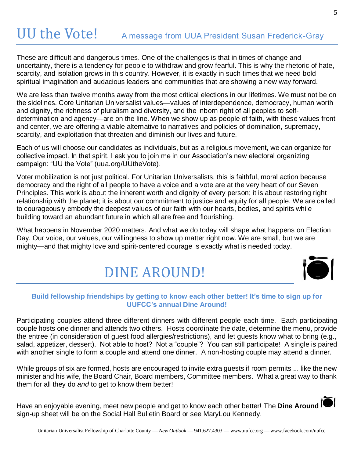# UU the Vote! A message from UUA President Susan Frederick-Gray

These are difficult and dangerous times. One of the challenges is that in times of change and uncertainty, there is a tendency for people to withdraw and grow fearful. This is why the rhetoric of hate, scarcity, and isolation grows in this country. However, it is exactly in such times that we need bold spiritual imagination and audacious leaders and communities that are showing a new way forward.

We are less than twelve months away from the most critical elections in our lifetimes. We must not be on the sidelines. Core Unitarian Universalist values—values of interdependence, democracy, human worth and dignity, the richness of pluralism and diversity, and the inborn right of all peoples to selfdetermination and agency—are on the line. When we show up as people of faith, with these values front and center, we are offering a viable alternative to narratives and policies of domination, supremacy, scarcity, and exploitation that threaten and diminish our lives and future.

Each of us will choose our candidates as individuals, but as a religious movement, we can organize for collective impact. In that spirit, I ask you to join me in our Association's new electoral organizing campaign: "UU the Vote" [\(uua.org/UUtheVote\)](https://www.uua.org/liberty/electionreform).

Voter mobilization is not just political. For Unitarian Universalists, this is faithful, moral action because democracy and the right of all people to have a voice and a vote are at the very heart of our Seven Principles. This work is about the inherent worth and dignity of every person; it is about restoring right relationship with the planet; it is about our commitment to justice and equity for all people. We are called to courageously embody the deepest values of our faith with our hearts, bodies, and spirits while building toward an abundant future in which all are free and flourishing.

What happens in November 2020 matters. And what we do today will shape what happens on Election Day. Our voice, our values, our willingness to show up matter right now. We are small, but we are mighty—and that mighty love and spirit-centered courage is exactly what is needed today.

# DINE AROUND!



#### **Build fellowship friendships by getting to know each other better! It's time to sign up for UUFCC's annual Dine Around!**

Participating couples attend three different dinners with different people each time. Each participating couple hosts one dinner and attends two others. Hosts coordinate the date, determine the menu, provide the entree (in consideration of guest food allergies/restrictions), and let guests know what to bring (e.g., salad, appetizer, dessert). Not able to host? Not a "couple"? You can still participate! A single is paired with another single to form a couple and attend one dinner. A non-hosting couple may attend a dinner.

While groups of six are formed, hosts are encouraged to invite extra guests if room permits ... like the new minister and his wife, the Board Chair, Board members, Committee members. What a great way to thank them for all they do *and* to get to know them better!

Have an enjoyable evening, meet new people and get to know each other better! The **Dine Around** sign-up sheet will be on the Social Hall Bulletin Board or see MaryLou Kennedy.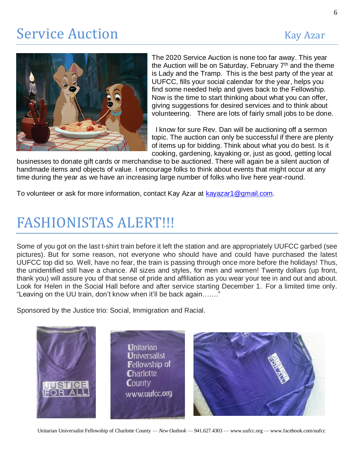## Service Auction Kay Azar



The 2020 Service Auction is none too far away. This year the Auction will be on Saturday, February 7<sup>th</sup> and the theme is Lady and the Tramp. This is the best party of the year at UUFCC, fills your social calendar for the year, helps you find some needed help and gives back to the Fellowship. Now is the time to start thinking about what you can offer, giving suggestions for desired services and to think about volunteering. There are lots of fairly small jobs to be done.

 I know for sure Rev. Dan will be auctioning off a sermon topic. The auction can only be successful if there are plenty of items up for bidding. Think about what you do best. Is it cooking, gardening, kayaking or, just as good, getting local

businesses to donate gift cards or merchandise to be auctioned. There will again be a silent auction of handmade items and objects of value. I encourage folks to think about events that might occur at any time during the year as we have an increasing large number of folks who live here year-round.

To volunteer or ask for more information, contact Kay Azar at [kayazar1@gmail.com.](mailto:kayazar1@gmail.com)

## FASHIONISTAS ALERT!!!

Some of you got on the last t-shirt train before it left the station and are appropriately UUFCC garbed (see pictures). But for some reason, not everyone who should have and could have purchased the latest UUFCC top did so. Well, have no fear, the train is passing through once more before the holidays! Thus, the unidentified still have a chance. All sizes and styles, for men and women! Twenty dollars (up front, thank you) will assure you of that sense of pride and affiliation as you wear your tee in and out and about. Look for Helen in the Social Hall before and after service starting December 1. For a limited time only. "Leaving on the UU train, don't know when it'll be back again……."

Sponsored by the Justice trio: Social, Immigration and Racial.

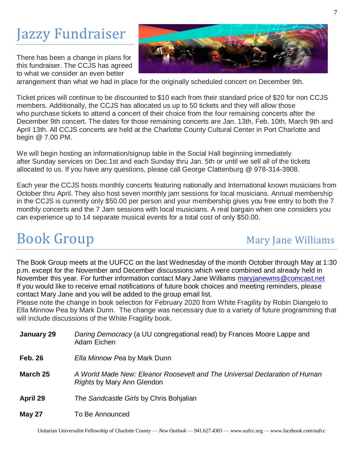# Jazzy Fundraiser

There has been a change in plans for this fundraiser. The CCJS has agreed to what we consider an even better



arrangement than what we had in place for the originally scheduled concert on December 9th.

Ticket prices will continue to be discounted to \$10 each from their standard price of \$20 for non CCJS members. Additionally, the CCJS has allocated us up to 50 tickets and they will allow those who purchase tickets to attend a concert of their choice from the four remaining concerts after the December 9th concert. The dates for those remaining concerts are Jan. 13th, Feb. 10th, March 9th and April 13th. All CCJS concerts are held at the Charlotte County Cultural Center in Port Charlotte and begin @ 7.00 PM.

We will begin hosting an information/signup table in the Social Hall beginning immediately after Sunday services on Dec.1st and each Sunday thru Jan. 5th or until we sell all of the tickets allocated to us. If you have any questions, please call George Clattenburg @ 978-314-3908.

Each year the CCJS hosts monthly concerts featuring nationally and International known musicians from October thru April. They also host seven monthly jam sessions for local musicians. Annual membership in the CCJS is currently only \$50.00 per person and your membership gives you free entry to both the 7 monthly concerts and the 7 Jam sessions with local musicians. A real bargain when one considers you can experience up to 14 separate musical events for a total cost of only \$50.00.

## **Book Group Mary Jane Williams**

The Book Group meets at the UUFCC on the last Wednesday of the month October through May at 1:30 p.m. except for the November and December discussions which were combined and already held in November this year. For further information contact Mary Jane Williams [maryjanewms@comcast.net](mailto:maryjanewms@comcast.net) If you would like to receive email notifications of future book choices and meeting reminders, please contact Mary Jane and you will be added to the group email list.

Please note the change in book selection for February 2020 from White Fragility by Robin Diangelo to Ella Minnow Pea by Mark Dunn. The change was necessary due to a variety of future programming that will include discussions of the White Fragility book.

| January 29     | Daring Democracy (a UU congregational read) by Frances Moore Lappe and<br>Adam Eichen                    |
|----------------|----------------------------------------------------------------------------------------------------------|
| <b>Feb. 26</b> | Ella Minnow Pea by Mark Dunn                                                                             |
| March 25       | A World Made New: Eleanor Roosevelt and The Universal Declaration of Human<br>Rights by Mary Ann Glendon |
| April 29       | The Sandcastle Girls by Chris Bohjalian                                                                  |
| <b>May 27</b>  | To Be Announced                                                                                          |